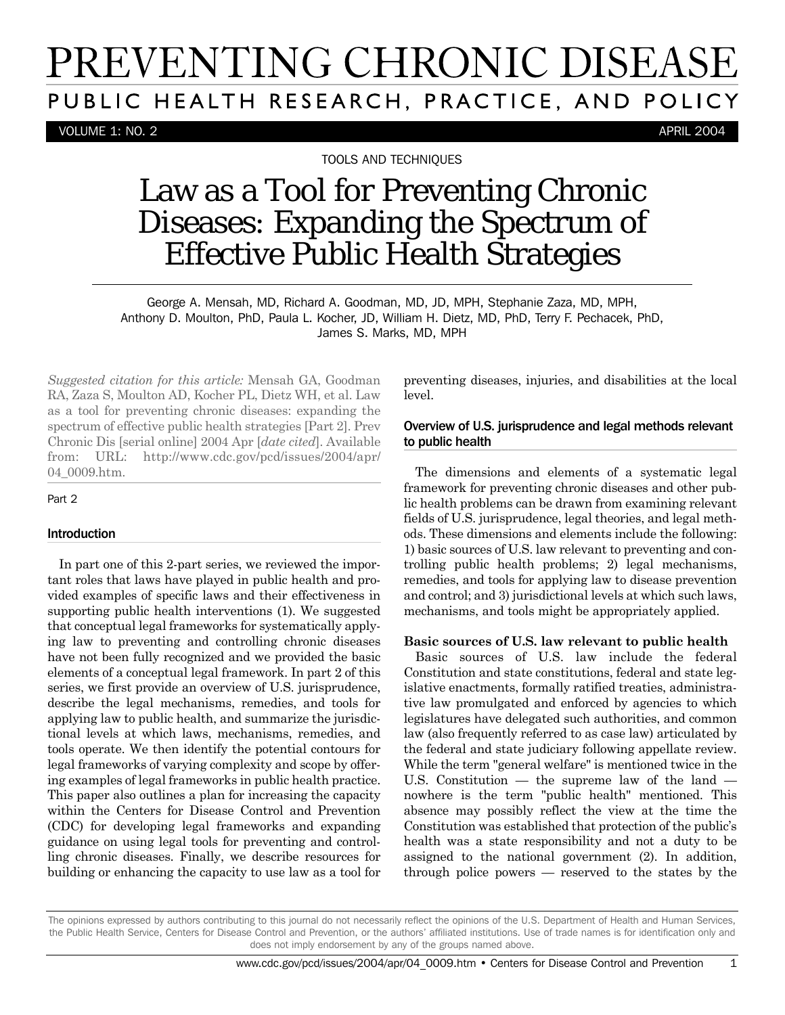# PREVENTING CHRONIC DISEASE PUBLIC HEALTH RESEARCH, PRACTICE, AND POLICY

VOLUME 1: NO. 2 APRIL 2004

TOOLS AND TECHNIQUES

# Law as a Tool for Preventing Chronic Diseases: Expanding the Spectrum of Effective Public Health Strategies

George A. Mensah, MD, Richard A. Goodman, MD, JD, MPH, Stephanie Zaza, MD, MPH, Anthony D. Moulton, PhD, Paula L. Kocher, JD, William H. Dietz, MD, PhD, Terry F. Pechacek, PhD, James S. Marks, MD, MPH

*Suggested citation for this article:* Mensah GA, Goodman RA, Zaza S, Moulton AD, Kocher PL, Dietz WH, et al. Law as a tool for preventing chronic diseases: expanding the spectrum of effective public health strategies [Part 2]. Prev Chronic Dis [serial online] 2004 Apr [*date cited*]. Available from: URL: http://www.cdc.gov/pcd/issues/2004/apr/ 04\_0009.htm.

#### Part 2

#### Introduction

In part one of this 2-part series, we reviewed the important roles that laws have played in public health and provided examples of specific laws and their effectiveness in supporting public health interventions (1). We suggested that conceptual legal frameworks for systematically applying law to preventing and controlling chronic diseases have not been fully recognized and we provided the basic elements of a conceptual legal framework. In part 2 of this series, we first provide an overview of U.S. jurisprudence, describe the legal mechanisms, remedies, and tools for applying law to public health, and summarize the jurisdictional levels at which laws, mechanisms, remedies, and tools operate. We then identify the potential contours for legal frameworks of varying complexity and scope by offering examples of legal frameworks in public health practice. This paper also outlines a plan for increasing the capacity within the Centers for Disease Control and Prevention (CDC) for developing legal frameworks and expanding guidance on using legal tools for preventing and controlling chronic diseases. Finally, we describe resources for building or enhancing the capacity to use law as a tool for preventing diseases, injuries, and disabilities at the local level.

### Overview of U.S. jurisprudence and legal methods relevant to public health

The dimensions and elements of a systematic legal framework for preventing chronic diseases and other public health problems can be drawn from examining relevant fields of U.S. jurisprudence, legal theories, and legal methods. These dimensions and elements include the following: 1) basic sources of U.S. law relevant to preventing and controlling public health problems; 2) legal mechanisms, remedies, and tools for applying law to disease prevention and control; and 3) jurisdictional levels at which such laws, mechanisms, and tools might be appropriately applied.

#### **Basic sources of U.S. law relevant to public health**

Basic sources of U.S. law include the federal Constitution and state constitutions, federal and state legislative enactments, formally ratified treaties, administrative law promulgated and enforced by agencies to which legislatures have delegated such authorities, and common law (also frequently referred to as case law) articulated by the federal and state judiciary following appellate review. While the term "general welfare" is mentioned twice in the U.S. Constitution — the supreme law of the land nowhere is the term "public health" mentioned. This absence may possibly reflect the view at the time the Constitution was established that protection of the public's health was a state responsibility and not a duty to be assigned to the national government (2). In addition, through police powers — reserved to the states by the

The opinions expressed by authors contributing to this journal do not necessarily reflect the opinions of the U.S. Department of Health and Human Services, the Public Health Service, Centers for Disease Control and Prevention, or the authors' affiliated institutions. Use of trade names is for identification only and does not imply endorsement by any of the groups named above.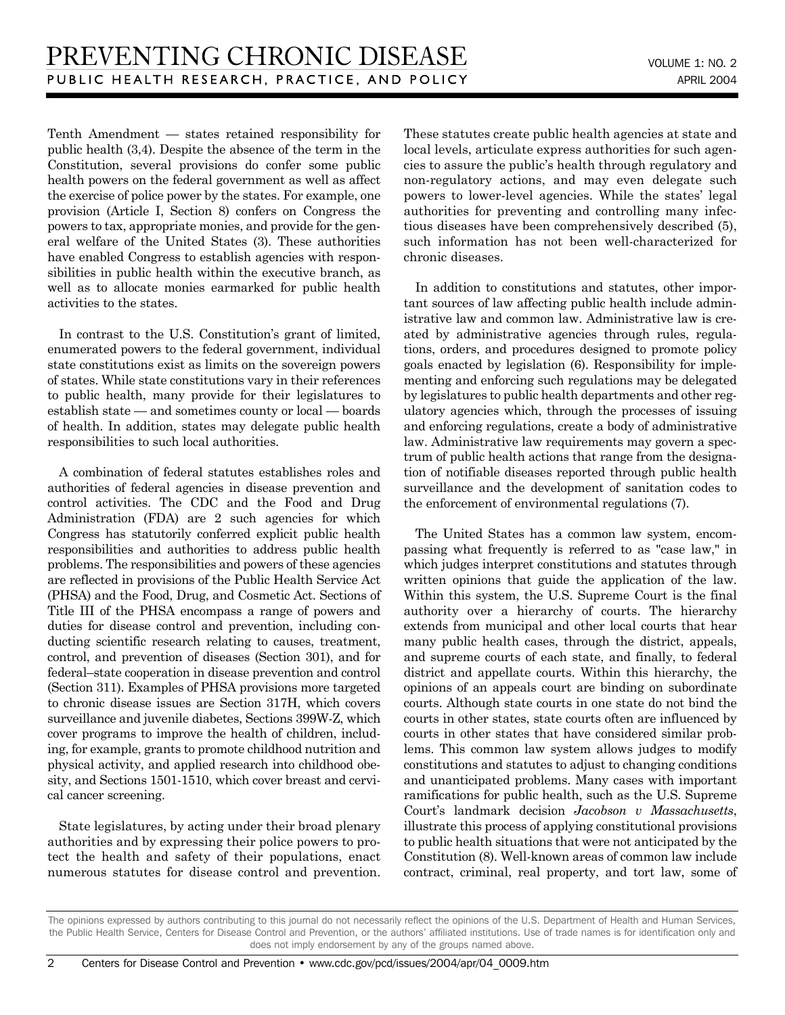Tenth Amendment — states retained responsibility for public health (3,4). Despite the absence of the term in the Constitution, several provisions do confer some public health powers on the federal government as well as affect the exercise of police power by the states. For example, one provision (Article I, Section 8) confers on Congress the powers to tax, appropriate monies, and provide for the general welfare of the United States (3). These authorities have enabled Congress to establish agencies with responsibilities in public health within the executive branch, as well as to allocate monies earmarked for public health activities to the states.

In contrast to the U.S. Constitution's grant of limited, enumerated powers to the federal government, individual state constitutions exist as limits on the sovereign powers of states. While state constitutions vary in their references to public health, many provide for their legislatures to establish state — and sometimes county or local — boards of health. In addition, states may delegate public health responsibilities to such local authorities.

A combination of federal statutes establishes roles and authorities of federal agencies in disease prevention and control activities. The CDC and the Food and Drug Administration (FDA) are 2 such agencies for which Congress has statutorily conferred explicit public health responsibilities and authorities to address public health problems. The responsibilities and powers of these agencies are reflected in provisions of the Public Health Service Act (PHSA) and the Food, Drug, and Cosmetic Act. Sections of Title III of the PHSA encompass a range of powers and duties for disease control and prevention, including conducting scientific research relating to causes, treatment, control, and prevention of diseases (Section 301), and for federal–state cooperation in disease prevention and control (Section 311). Examples of PHSA provisions more targeted to chronic disease issues are Section 317H, which covers surveillance and juvenile diabetes, Sections 399W-Z, which cover programs to improve the health of children, including, for example, grants to promote childhood nutrition and physical activity, and applied research into childhood obesity, and Sections 1501-1510, which cover breast and cervical cancer screening.

State legislatures, by acting under their broad plenary authorities and by expressing their police powers to protect the health and safety of their populations, enact numerous statutes for disease control and prevention. These statutes create public health agencies at state and local levels, articulate express authorities for such agencies to assure the public's health through regulatory and non-regulatory actions, and may even delegate such powers to lower-level agencies. While the states' legal authorities for preventing and controlling many infectious diseases have been comprehensively described (5), such information has not been well-characterized for chronic diseases.

In addition to constitutions and statutes, other important sources of law affecting public health include administrative law and common law. Administrative law is created by administrative agencies through rules, regulations, orders, and procedures designed to promote policy goals enacted by legislation (6). Responsibility for implementing and enforcing such regulations may be delegated by legislatures to public health departments and other regulatory agencies which, through the processes of issuing and enforcing regulations, create a body of administrative law. Administrative law requirements may govern a spectrum of public health actions that range from the designation of notifiable diseases reported through public health surveillance and the development of sanitation codes to the enforcement of environmental regulations (7).

The United States has a common law system, encompassing what frequently is referred to as "case law," in which judges interpret constitutions and statutes through written opinions that guide the application of the law. Within this system, the U.S. Supreme Court is the final authority over a hierarchy of courts. The hierarchy extends from municipal and other local courts that hear many public health cases, through the district, appeals, and supreme courts of each state, and finally, to federal district and appellate courts. Within this hierarchy, the opinions of an appeals court are binding on subordinate courts. Although state courts in one state do not bind the courts in other states, state courts often are influenced by courts in other states that have considered similar problems. This common law system allows judges to modify constitutions and statutes to adjust to changing conditions and unanticipated problems. Many cases with important ramifications for public health, such as the U.S. Supreme Court's landmark decision *Jacobson v Massachusetts*, illustrate this process of applying constitutional provisions to public health situations that were not anticipated by the Constitution (8). Well-known areas of common law include contract, criminal, real property, and tort law, some of

The opinions expressed by authors contributing to this journal do not necessarily reflect the opinions of the U.S. Department of Health and Human Services, the Public Health Service, Centers for Disease Control and Prevention, or the authors' affiliated institutions. Use of trade names is for identification only and does not imply endorsement by any of the groups named above.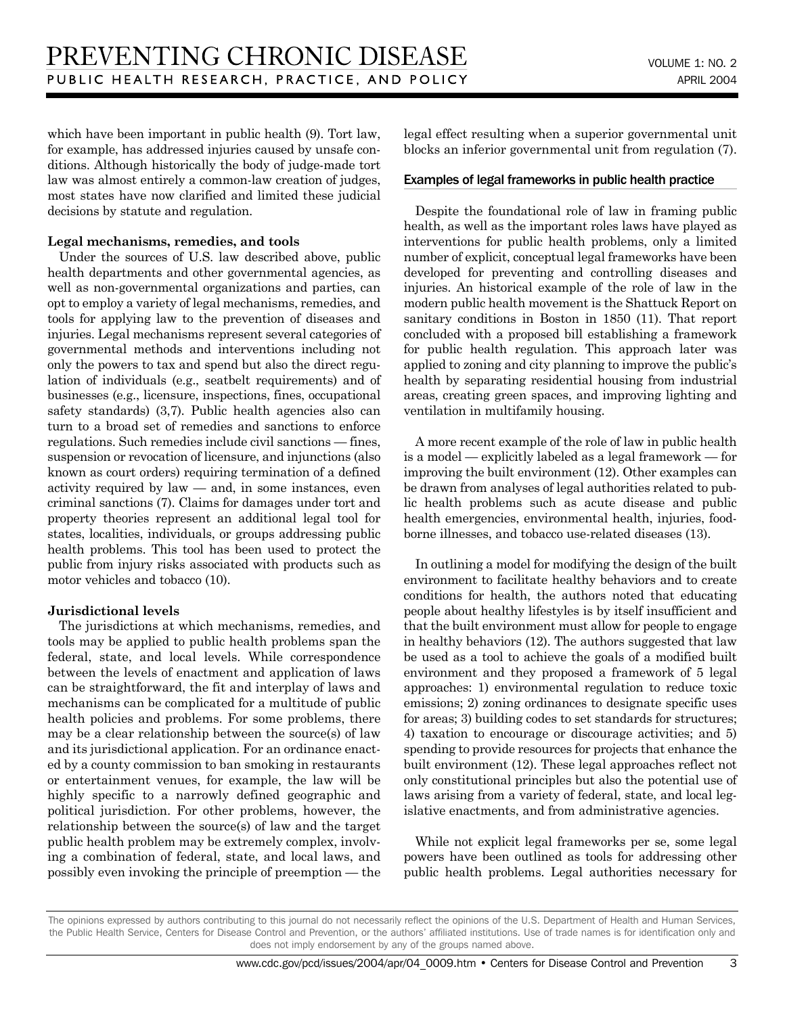which have been important in public health (9). Tort law, for example, has addressed injuries caused by unsafe conditions. Although historically the body of judge-made tort law was almost entirely a common-law creation of judges, most states have now clarified and limited these judicial decisions by statute and regulation.

#### **Legal mechanisms, remedies, and tools**

Under the sources of U.S. law described above, public health departments and other governmental agencies, as well as non-governmental organizations and parties, can opt to employ a variety of legal mechanisms, remedies, and tools for applying law to the prevention of diseases and injuries. Legal mechanisms represent several categories of governmental methods and interventions including not only the powers to tax and spend but also the direct regulation of individuals (e.g., seatbelt requirements) and of businesses (e.g., licensure, inspections, fines, occupational safety standards) (3,7). Public health agencies also can turn to a broad set of remedies and sanctions to enforce regulations. Such remedies include civil sanctions — fines, suspension or revocation of licensure, and injunctions (also known as court orders) requiring termination of a defined activity required by law — and, in some instances, even criminal sanctions (7). Claims for damages under tort and property theories represent an additional legal tool for states, localities, individuals, or groups addressing public health problems. This tool has been used to protect the public from injury risks associated with products such as motor vehicles and tobacco (10).

#### **Jurisdictional levels**

The jurisdictions at which mechanisms, remedies, and tools may be applied to public health problems span the federal, state, and local levels. While correspondence between the levels of enactment and application of laws can be straightforward, the fit and interplay of laws and mechanisms can be complicated for a multitude of public health policies and problems. For some problems, there may be a clear relationship between the source(s) of law and its jurisdictional application. For an ordinance enacted by a county commission to ban smoking in restaurants or entertainment venues, for example, the law will be highly specific to a narrowly defined geographic and political jurisdiction. For other problems, however, the relationship between the source(s) of law and the target public health problem may be extremely complex, involving a combination of federal, state, and local laws, and possibly even invoking the principle of preemption — the legal effect resulting when a superior governmental unit blocks an inferior governmental unit from regulation (7).

#### Examples of legal frameworks in public health practice

Despite the foundational role of law in framing public health, as well as the important roles laws have played as interventions for public health problems, only a limited number of explicit, conceptual legal frameworks have been developed for preventing and controlling diseases and injuries. An historical example of the role of law in the modern public health movement is the Shattuck Report on sanitary conditions in Boston in 1850 (11). That report concluded with a proposed bill establishing a framework for public health regulation. This approach later was applied to zoning and city planning to improve the public's health by separating residential housing from industrial areas, creating green spaces, and improving lighting and ventilation in multifamily housing.

A more recent example of the role of law in public health is a model — explicitly labeled as a legal framework — for improving the built environment (12). Other examples can be drawn from analyses of legal authorities related to public health problems such as acute disease and public health emergencies, environmental health, injuries, foodborne illnesses, and tobacco use-related diseases (13).

In outlining a model for modifying the design of the built environment to facilitate healthy behaviors and to create conditions for health, the authors noted that educating people about healthy lifestyles is by itself insufficient and that the built environment must allow for people to engage in healthy behaviors (12). The authors suggested that law be used as a tool to achieve the goals of a modified built environment and they proposed a framework of 5 legal approaches: 1) environmental regulation to reduce toxic emissions; 2) zoning ordinances to designate specific uses for areas; 3) building codes to set standards for structures; 4) taxation to encourage or discourage activities; and 5) spending to provide resources for projects that enhance the built environment (12). These legal approaches reflect not only constitutional principles but also the potential use of laws arising from a variety of federal, state, and local legislative enactments, and from administrative agencies.

While not explicit legal frameworks per se, some legal powers have been outlined as tools for addressing other public health problems. Legal authorities necessary for

The opinions expressed by authors contributing to this journal do not necessarily reflect the opinions of the U.S. Department of Health and Human Services, the Public Health Service, Centers for Disease Control and Prevention, or the authors' affiliated institutions. Use of trade names is for identification only and does not imply endorsement by any of the groups named above.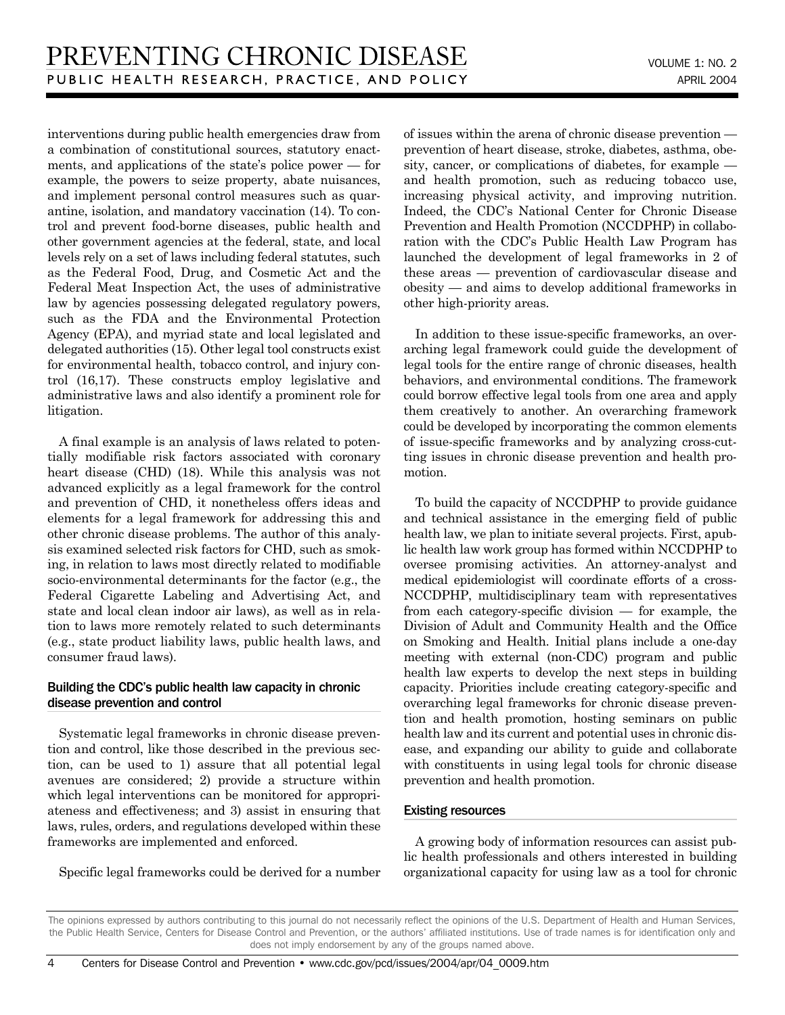interventions during public health emergencies draw from a combination of constitutional sources, statutory enactments, and applications of the state's police power — for example, the powers to seize property, abate nuisances, and implement personal control measures such as quarantine, isolation, and mandatory vaccination (14). To control and prevent food-borne diseases, public health and other government agencies at the federal, state, and local levels rely on a set of laws including federal statutes, such as the Federal Food, Drug, and Cosmetic Act and the Federal Meat Inspection Act, the uses of administrative law by agencies possessing delegated regulatory powers, such as the FDA and the Environmental Protection Agency (EPA), and myriad state and local legislated and delegated authorities (15). Other legal tool constructs exist for environmental health, tobacco control, and injury control (16,17). These constructs employ legislative and administrative laws and also identify a prominent role for litigation.

A final example is an analysis of laws related to potentially modifiable risk factors associated with coronary heart disease (CHD) (18). While this analysis was not advanced explicitly as a legal framework for the control and prevention of CHD, it nonetheless offers ideas and elements for a legal framework for addressing this and other chronic disease problems. The author of this analysis examined selected risk factors for CHD, such as smoking, in relation to laws most directly related to modifiable socio-environmental determinants for the factor (e.g., the Federal Cigarette Labeling and Advertising Act, and state and local clean indoor air laws), as well as in relation to laws more remotely related to such determinants (e.g., state product liability laws, public health laws, and consumer fraud laws).

# Building the CDC's public health law capacity in chronic disease prevention and control

Systematic legal frameworks in chronic disease prevention and control, like those described in the previous section, can be used to 1) assure that all potential legal avenues are considered; 2) provide a structure within which legal interventions can be monitored for appropriateness and effectiveness; and 3) assist in ensuring that laws, rules, orders, and regulations developed within these frameworks are implemented and enforced.

Specific legal frameworks could be derived for a number

of issues within the arena of chronic disease prevention prevention of heart disease, stroke, diabetes, asthma, obesity, cancer, or complications of diabetes, for example and health promotion, such as reducing tobacco use, increasing physical activity, and improving nutrition. Indeed, the CDC's National Center for Chronic Disease Prevention and Health Promotion (NCCDPHP) in collaboration with the CDC's Public Health Law Program has launched the development of legal frameworks in 2 of these areas — prevention of cardiovascular disease and obesity — and aims to develop additional frameworks in other high-priority areas.

In addition to these issue-specific frameworks, an overarching legal framework could guide the development of legal tools for the entire range of chronic diseases, health behaviors, and environmental conditions. The framework could borrow effective legal tools from one area and apply them creatively to another. An overarching framework could be developed by incorporating the common elements of issue-specific frameworks and by analyzing cross-cutting issues in chronic disease prevention and health promotion.

To build the capacity of NCCDPHP to provide guidance and technical assistance in the emerging field of public health law, we plan to initiate several projects. First, apublic health law work group has formed within NCCDPHP to oversee promising activities. An attorney-analyst and medical epidemiologist will coordinate efforts of a cross-NCCDPHP, multidisciplinary team with representatives from each category-specific division — for example, the Division of Adult and Community Health and the Office on Smoking and Health. Initial plans include a one-day meeting with external (non-CDC) program and public health law experts to develop the next steps in building capacity. Priorities include creating category-specific and overarching legal frameworks for chronic disease prevention and health promotion, hosting seminars on public health law and its current and potential uses in chronic disease, and expanding our ability to guide and collaborate with constituents in using legal tools for chronic disease prevention and health promotion.

# Existing resources

A growing body of information resources can assist public health professionals and others interested in building organizational capacity for using law as a tool for chronic

The opinions expressed by authors contributing to this journal do not necessarily reflect the opinions of the U.S. Department of Health and Human Services, the Public Health Service, Centers for Disease Control and Prevention, or the authors' affiliated institutions. Use of trade names is for identification only and does not imply endorsement by any of the groups named above.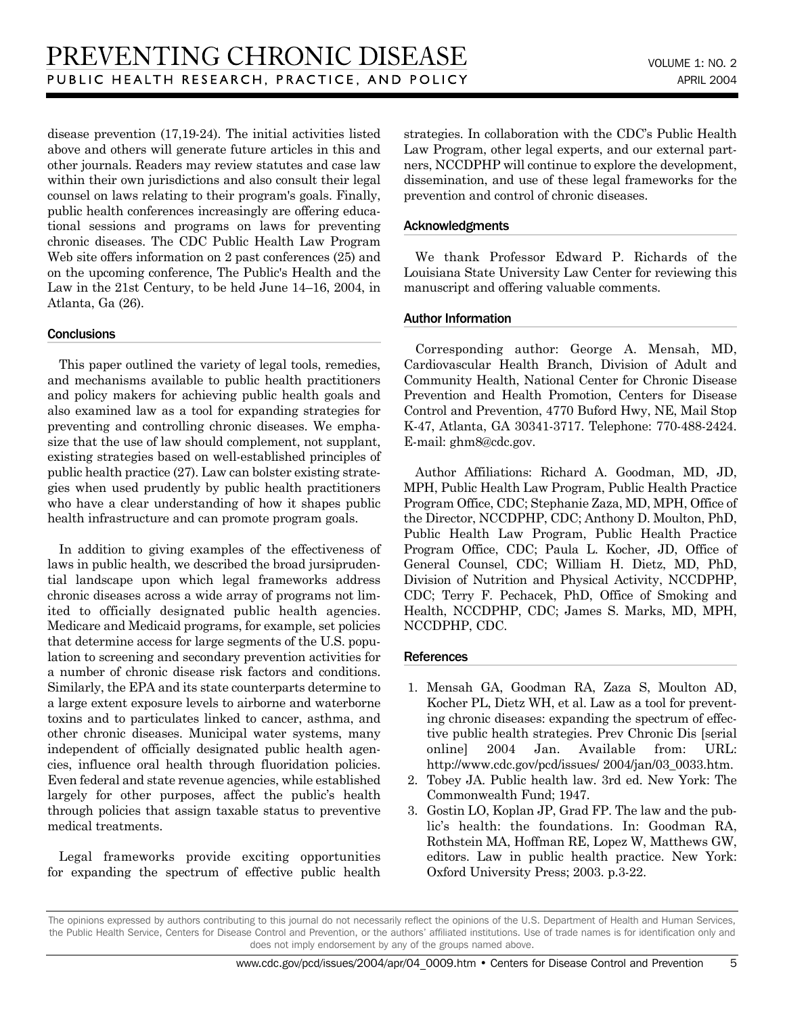disease prevention (17,19-24). The initial activities listed above and others will generate future articles in this and other journals. Readers may review statutes and case law within their own jurisdictions and also consult their legal counsel on laws relating to their program's goals. Finally, public health conferences increasingly are offering educational sessions and programs on laws for preventing chronic diseases. The CDC Public Health Law Program Web site offers information on 2 past conferences (25) and on the upcoming conference, The Public's Health and the Law in the 21st Century, to be held June 14–16, 2004, in Atlanta, Ga (26).

# **Conclusions**

This paper outlined the variety of legal tools, remedies, and mechanisms available to public health practitioners and policy makers for achieving public health goals and also examined law as a tool for expanding strategies for preventing and controlling chronic diseases. We emphasize that the use of law should complement, not supplant, existing strategies based on well-established principles of public health practice (27). Law can bolster existing strategies when used prudently by public health practitioners who have a clear understanding of how it shapes public health infrastructure and can promote program goals.

In addition to giving examples of the effectiveness of laws in public health, we described the broad jursiprudential landscape upon which legal frameworks address chronic diseases across a wide array of programs not limited to officially designated public health agencies. Medicare and Medicaid programs, for example, set policies that determine access for large segments of the U.S. population to screening and secondary prevention activities for a number of chronic disease risk factors and conditions. Similarly, the EPA and its state counterparts determine to a large extent exposure levels to airborne and waterborne toxins and to particulates linked to cancer, asthma, and other chronic diseases. Municipal water systems, many independent of officially designated public health agencies, influence oral health through fluoridation policies. Even federal and state revenue agencies, while established largely for other purposes, affect the public's health through policies that assign taxable status to preventive medical treatments.

Legal frameworks provide exciting opportunities for expanding the spectrum of effective public health strategies. In collaboration with the CDC's Public Health Law Program, other legal experts, and our external partners, NCCDPHP will continue to explore the development, dissemination, and use of these legal frameworks for the prevention and control of chronic diseases.

# Acknowledgments

We thank Professor Edward P. Richards of the Louisiana State University Law Center for reviewing this manuscript and offering valuable comments.

# Author Information

Corresponding author: George A. Mensah, MD, Cardiovascular Health Branch, Division of Adult and Community Health, National Center for Chronic Disease Prevention and Health Promotion, Centers for Disease Control and Prevention, 4770 Buford Hwy, NE, Mail Stop K-47, Atlanta, GA 30341-3717. Telephone: 770-488-2424. E-mail: ghm8@cdc.gov.

Author Affiliations: Richard A. Goodman, MD, JD, MPH, Public Health Law Program, Public Health Practice Program Office, CDC; Stephanie Zaza, MD, MPH, Office of the Director, NCCDPHP, CDC; Anthony D. Moulton, PhD, Public Health Law Program, Public Health Practice Program Office, CDC; Paula L. Kocher, JD, Office of General Counsel, CDC; William H. Dietz, MD, PhD, Division of Nutrition and Physical Activity, NCCDPHP, CDC; Terry F. Pechacek, PhD, Office of Smoking and Health, NCCDPHP, CDC; James S. Marks, MD, MPH, NCCDPHP, CDC.

#### **References**

- 1. Mensah GA, Goodman RA, Zaza S, Moulton AD, Kocher PL, Dietz WH, et al. Law as a tool for preventing chronic diseases: expanding the spectrum of effective public health strategies. Prev Chronic Dis [serial online] 2004 Jan. Available from: URL: http://www.cdc.gov/pcd/issues/ 2004/jan/03\_0033.htm.
- 2. Tobey JA. Public health law. 3rd ed. New York: The Commonwealth Fund; 1947.
- 3. Gostin LO, Koplan JP, Grad FP. The law and the public's health: the foundations. In: Goodman RA, Rothstein MA, Hoffman RE, Lopez W, Matthews GW, editors. Law in public health practice. New York: Oxford University Press; 2003. p.3-22.

The opinions expressed by authors contributing to this journal do not necessarily reflect the opinions of the U.S. Department of Health and Human Services, the Public Health Service, Centers for Disease Control and Prevention, or the authors' affiliated institutions. Use of trade names is for identification only and does not imply endorsement by any of the groups named above.